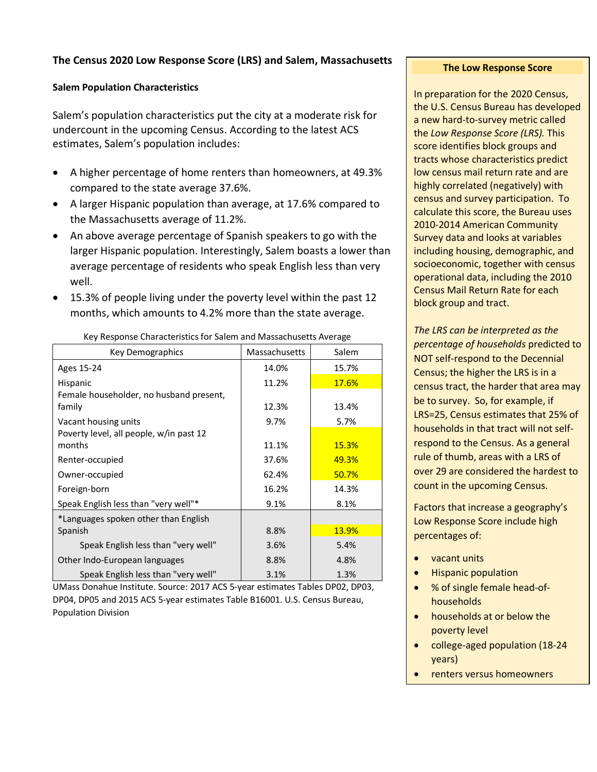## **The Census 2020 Low Response Score (LRS) and Salem, Massachusetts**

## **Salem Population Characteristics**

Salem's population characteristics put the city at a moderate risk for undercount in the upcoming Census. According to the latest ACS estimates, Salem's population includes:

- A higher percentage of home renters than homeowners, at 49.3% compared to the state average 37.6%.
- A larger Hispanic population than average, at 17.6% compared to the Massachusetts average of 11.2%.
- An above average percentage of Spanish speakers to go with the larger Hispanic population. Interestingly, Salem boasts a lower than average percentage of residents who speak English less than very well.
- 15.3% of people living under the poverty level within the past 12 months, which amounts to 4.2% more than the state average.

| Key Demographics                        | Massachusetts | Salem        |
|-----------------------------------------|---------------|--------------|
| Ages 15-24                              | 14.0%         | 15.7%        |
| Hispanic                                | 11.2%         | <b>17.6%</b> |
| Female householder, no husband present, |               |              |
| family                                  | 12.3%         | 13.4%        |
| Vacant housing units                    | 9.7%          | 5.7%         |
| Poverty level, all people, w/in past 12 |               |              |
| months                                  | 11.1%         | <b>15.3%</b> |
| Renter-occupied                         | 37.6%         | 49.3%        |
| Owner-occupied                          | 62.4%         | 50.7%        |
| Foreign-born                            | 16.2%         | 14.3%        |
| Speak English less than "very well"*    | 9.1%          | 8.1%         |
| *Languages spoken other than English    |               |              |
| Spanish                                 | 8.8%          | 13.9%        |
| Speak English less than "very well"     | 3.6%          | 5.4%         |
| Other Indo-European languages           | 8.8%          | 4.8%         |
| Speak English less than "very well"     | 3.1%          | 1.3%         |

Key Response Characteristics for Salem and Massachusetts Average

UMass Donahue Institute. Source: 2017 ACS 5-year estimates Tables DP02, DP03, DP04, DP05 and 2015 ACS 5-year estimates Table B16001. U.S. Census Bureau, Population Division

## **The Low Response Score**

In preparation for the 2020 Census, the U.S. Census Bureau has developed a new hard-to-survey metric called the *Low Response Score (LRS).* This score identifies block groups and tracts whose characteristics predict low census mail return rate and are highly correlated (negatively) with census and survey participation. To calculate this score, the Bureau uses 2010-2014 American Community Survey data and looks at variables including housing, demographic, and socioeconomic, together with census operational data, including the 2010 Census Mail Return Rate for each block group and tract.

*The LRS can be interpreted as the percentage of households* predicted to NOT self-respond to the Decennial Census; the higher the LRS is in a census tract, the harder that area may be to survey. So, for example, if LRS=25, Census estimates that 25% of households in that tract will not selfrespond to the Census. As a general rule of thumb, areas with a LRS of over 29 are considered the hardest to count in the upcoming Census.

Factors that increase a geography's Low Response Score include high percentages of:

- vacant units
- Hispanic population
- % of single female head-ofhouseholds
- households at or below the poverty level
- college-aged population (18-24 years)
- renters versus homeowners